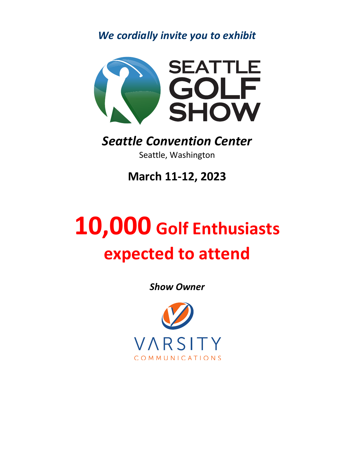*We cordially invite you to exhibit*



## *Seattle Convention Center* Seattle, Washington

**March 11-12, 2023**

## **10,000 Golf Enthusiasts expected to attend**

*Show Owner*

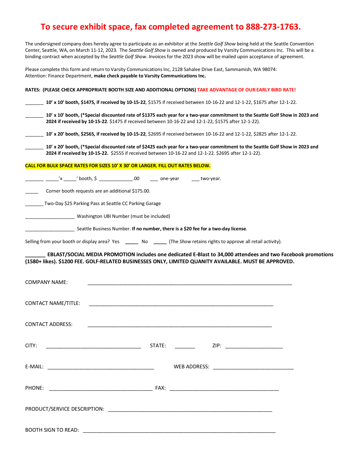## **To secure exhibit space, fax completed agreement to 888-273-1763.**

The undersigned company does hereby agree to participate as an exhibitor at the *Seattle Golf Show* being held at the Seattle Convention Center, Seattle, WA, on March 11-12, 2023. The *Seattle Golf Show* is owned and produced by Varsity Communications Inc. This will be a binding contract when accepted by the *Seattle Golf Show*. Invoices for the 2023 show will be mailed upon acceptance of agreement.

Please complete this form and return to Varsity Communications Inc, 2128 Sahalee Drive East, Sammamish, WA 98074: Attention: Finance Department, **make check payable to Varsity Communications Inc.**

| RATES: (PLEASE CHECK APPROPRIATE BOOTH SIZE AND ADDITIONAL OPTIONS) TAKE ADVANTAGE OF OUR EARLY BIRD RATE!                                                                                                                             |
|----------------------------------------------------------------------------------------------------------------------------------------------------------------------------------------------------------------------------------------|
| 10' x 10' booth, \$1475, if received by 10-15-22, \$1575 if received between 10-16-22 and 12-1-22, \$1675 after 12-1-22.                                                                                                               |
| 10' x 10' booth, (*Special discounted rate of \$1375 each year for a two-year commitment to the Seattle Golf Show in 2023 and<br>2024 if received by 10-15-22. \$1475 if received between 10-16-22 and 12-1-22, \$1575 after 12-1-22). |
| 10' x 20' booth, \$2565, if received by 10-15-22, \$2695 if received between 10-16-22 and 12-1-22, \$2825 after 12-1-22.                                                                                                               |
| 10' x 20' booth, (*Special discounted rate of \$2425 each year for a two-year commitment to the Seattle Golf Show in 2023 and<br>2024 if received by 10-15-22. \$2555 if received between 10-16-22 and 12-1-22. \$2695 after 12-1-22). |
| CALL FOR BULK SPACE RATES FOR SIZES 10' X 30' OR LARGER. FILL OUT RATES BELOW.                                                                                                                                                         |
| _____ _______'x ______' booth, \$ _______________.00   ____ one-year   ____ two-year.                                                                                                                                                  |
| Corner booth requests are an additional \$175.00.                                                                                                                                                                                      |
| Two-Day \$25 Parking Pass at Seattle CC Parking Garage                                                                                                                                                                                 |
| Uashington UBI Number (must be included)                                                                                                                                                                                               |
| Seattle Business Number. If no number, there is a \$20 fee for a two-day license.                                                                                                                                                      |
| Selling from your booth or display area? Yes _______ No ______ (The Show retains rights to approve all retail activity).                                                                                                               |
| EBLAST/SOCIAL MEDIA PROMOTION includes one dedicated E-Blast to 34,000 attendees and two Facebook promotions                                                                                                                           |
| (1580+ likes). \$1200 FEE. GOLF-RELATED BUSINESSES ONLY, LIMITED QUANITY AVAILABLE. MUST BE APPROVED.                                                                                                                                  |
| <b>COMPANY NAME:</b>                                                                                                                                                                                                                   |
|                                                                                                                                                                                                                                        |
| <b>CONTACT NAME/TITLE:</b><br><u> 1989 - Johann Barn, mars ann an t-Amhain ann an t-Amhain ann an t-Amhain ann an t-Amhain an t-Amhain an t-Amh</u>                                                                                    |
|                                                                                                                                                                                                                                        |
| CONTACT ADDRESS:                                                                                                                                                                                                                       |
| CITY:<br>ZIP: _________________________                                                                                                                                                                                                |
|                                                                                                                                                                                                                                        |
|                                                                                                                                                                                                                                        |
|                                                                                                                                                                                                                                        |
|                                                                                                                                                                                                                                        |
|                                                                                                                                                                                                                                        |
|                                                                                                                                                                                                                                        |

BOOTH SIGN TO READ: \_\_\_\_\_\_\_\_\_\_\_\_\_\_\_\_\_\_\_\_\_\_\_\_\_\_\_\_\_\_\_\_\_\_\_\_\_\_\_\_\_\_\_\_\_\_\_\_\_\_\_\_\_\_\_\_\_\_\_\_\_\_\_\_\_\_\_